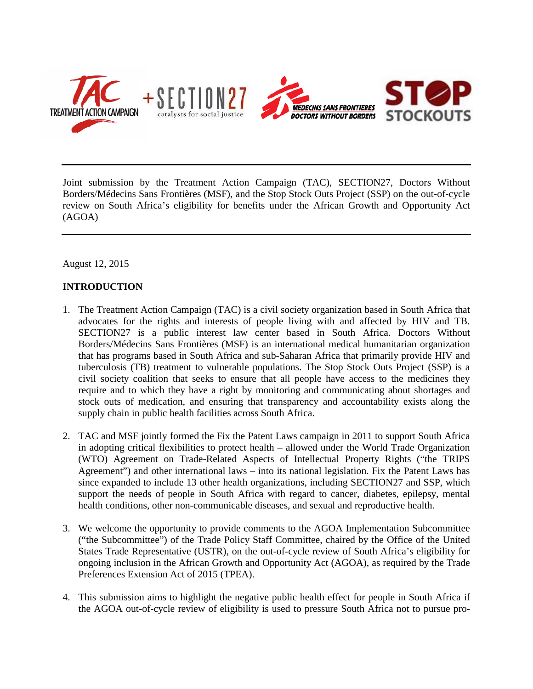

Joint submission by the Treatment Action Campaign (TAC), SECTION27, Doctors Without Borders/Médecins Sans Frontières (MSF), and the Stop Stock Outs Project (SSP) on the out-of-cycle review on South Africa's eligibility for benefits under the African Growth and Opportunity Act (AGOA)

August 12, 2015

# **INTRODUCTION**

- 1. The Treatment Action Campaign (TAC) is a civil society organization based in South Africa that advocates for the rights and interests of people living with and affected by HIV and TB. SECTION27 is a public interest law center based in South Africa. Doctors Without Borders/Médecins Sans Frontières (MSF) is an international medical humanitarian organization that has programs based in South Africa and sub-Saharan Africa that primarily provide HIV and tuberculosis (TB) treatment to vulnerable populations. The Stop Stock Outs Project (SSP) is a civil society coalition that seeks to ensure that all people have access to the medicines they require and to which they have a right by monitoring and communicating about shortages and stock outs of medication, and ensuring that transparency and accountability exists along the supply chain in public health facilities across South Africa.
- 2. TAC and MSF jointly formed the Fix the Patent Laws campaign in 2011 to support South Africa in adopting critical flexibilities to protect health – allowed under the World Trade Organization (WTO) Agreement on Trade-Related Aspects of Intellectual Property Rights ("the TRIPS Agreement") and other international laws – into its national legislation. Fix the Patent Laws has since expanded to include 13 other health organizations, including SECTION27 and SSP, which support the needs of people in South Africa with regard to cancer, diabetes, epilepsy, mental health conditions, other non-communicable diseases, and sexual and reproductive health.
- 3. We welcome the opportunity to provide comments to the AGOA Implementation Subcommittee ("the Subcommittee") of the Trade Policy Staff Committee, chaired by the Office of the United States Trade Representative (USTR), on the out-of-cycle review of South Africa's eligibility for ongoing inclusion in the African Growth and Opportunity Act (AGOA), as required by the Trade Preferences Extension Act of 2015 (TPEA).
- 4. This submission aims to highlight the negative public health effect for people in South Africa if the AGOA out-of-cycle review of eligibility is used to pressure South Africa not to pursue pro-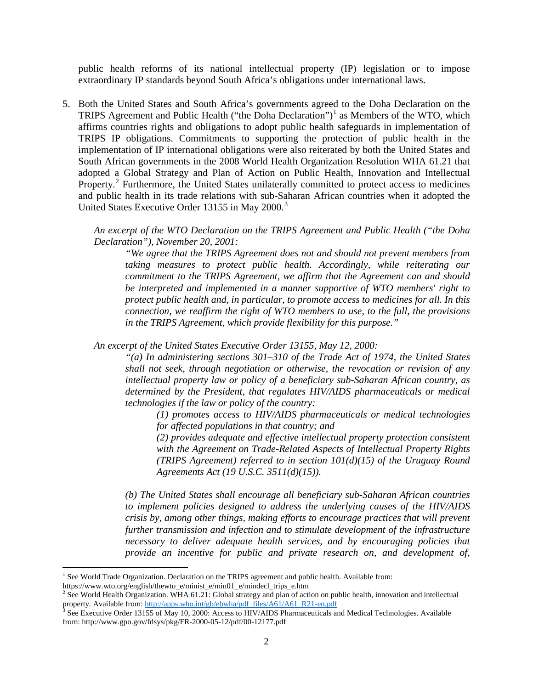public health reforms of its national intellectual property (IP) legislation or to impose extraordinary IP standards beyond South Africa's obligations under international laws.

5. Both the United States and South Africa's governments agreed to the Doha Declaration on the TRIPS Agreement and Public Health ("the Doha Declaration")<sup>[1](#page-1-0)</sup> as Members of the WTO, which affirms countries rights and obligations to adopt public health safeguards in implementation of TRIPS IP obligations. Commitments to supporting the protection of public health in the implementation of IP international obligations were also reiterated by both the United States and South African governments in the 2008 World Health Organization Resolution WHA 61.21 that adopted a Global Strategy and Plan of Action on Public Health, Innovation and Intellectual Property.<sup>[2](#page-1-1)</sup> Furthermore, the United States unilaterally committed to protect access to medicines and public health in its trade relations with sub-Saharan African countries when it adopted the United States Executive Order 1[3](#page-1-2)155 in May 2000.<sup>3</sup>

*An excerpt of the WTO Declaration on the TRIPS Agreement and Public Health ("the Doha Declaration"), November 20, 2001:*

*"We agree that the TRIPS Agreement does not and should not prevent members from taking measures to protect public health. Accordingly, while reiterating our commitment to the TRIPS Agreement, we affirm that the Agreement can and should be interpreted and implemented in a manner supportive of WTO members' right to protect public health and, in particular, to promote access to medicines for all. In this connection, we reaffirm the right of WTO members to use, to the full, the provisions in the TRIPS Agreement, which provide flexibility for this purpose."*

*An excerpt of the United States Executive Order 13155, May 12, 2000:*

*"(a) In administering sections 301–310 of the Trade Act of 1974, the United States shall not seek, through negotiation or otherwise, the revocation or revision of any intellectual property law or policy of a beneficiary sub-Saharan African country, as determined by the President, that regulates HIV/AIDS pharmaceuticals or medical technologies if the law or policy of the country:* 

*(1) promotes access to HIV/AIDS pharmaceuticals or medical technologies for affected populations in that country; and* 

*(2) provides adequate and effective intellectual property protection consistent with the Agreement on Trade-Related Aspects of Intellectual Property Rights (TRIPS Agreement) referred to in section 101(d)(15) of the Uruguay Round Agreements Act (19 U.S.C. 3511(d)(15)).* 

*(b) The United States shall encourage all beneficiary sub-Saharan African countries to implement policies designed to address the underlying causes of the HIV/AIDS crisis by, among other things, making efforts to encourage practices that will prevent further transmission and infection and to stimulate development of the infrastructure necessary to deliver adequate health services, and by encouraging policies that provide an incentive for public and private research on, and development of,* 

l

 $<sup>1</sup>$  See World Trade Organization. Declaration on the TRIPS agreement and public health. Available from:</sup>

<span id="page-1-1"></span><span id="page-1-0"></span>https://www.wto.org/english/thewto\_e/minist\_e/min01\_e/mindecl\_trips\_e.htm 2 See World Health Organization. WHA 61.21: Global strategy and plan of action on public health, innovation and intellectual property. Available from[: http://apps.who.int/gb/ebwha/pdf\\_files/A61/A61\\_R21-en.pdf](http://apps.who.int/gb/ebwha/pdf_files/A61/A61_R21-en.pdf)<br><sup>3</sup> See Executive Order 13155 of May 10, 2000: Access to HIV/AIDS Pharmaceuticals and Medical Technologies. Available

<span id="page-1-2"></span>from: http://www.gpo.gov/fdsys/pkg/FR-2000-05-12/pdf/00-12177.pdf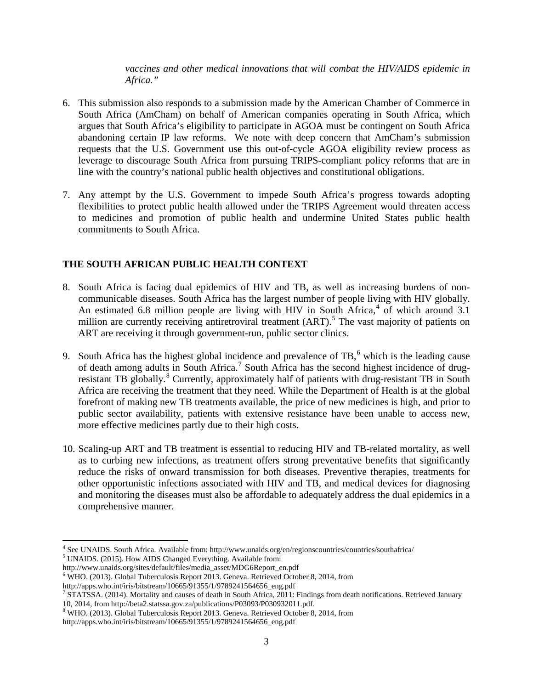*vaccines and other medical innovations that will combat the HIV/AIDS epidemic in Africa."*

- 6. This submission also responds to a submission made by the American Chamber of Commerce in South Africa (AmCham) on behalf of American companies operating in South Africa, which argues that South Africa's eligibility to participate in AGOA must be contingent on South Africa abandoning certain IP law reforms. We note with deep concern that AmCham's submission requests that the U.S. Government use this out-of-cycle AGOA eligibility review process as leverage to discourage South Africa from pursuing TRIPS-compliant policy reforms that are in line with the country's national public health objectives and constitutional obligations.
- 7. Any attempt by the U.S. Government to impede South Africa's progress towards adopting flexibilities to protect public health allowed under the TRIPS Agreement would threaten access to medicines and promotion of public health and undermine United States public health commitments to South Africa.

## **THE SOUTH AFRICAN PUBLIC HEALTH CONTEXT**

- 8. South Africa is facing dual epidemics of HIV and TB, as well as increasing burdens of noncommunicable diseases. South Africa has the largest number of people living with HIV globally. An estimated 6.8 million people are living with HIV in South Africa,<sup>[4](#page-2-0)</sup> of which around 3.1 million are currently receiving antiretroviral treatment (ART).<sup>[5](#page-2-1)</sup> The vast majority of patients on ART are receiving it through government-run, public sector clinics.
- 9. South Africa has the highest global incidence and prevalence of  $TB$ , which is the leading cause of death among adults in South Africa.<sup>[7](#page-2-3)</sup> South Africa has the second highest incidence of drug-resistant TB globally.<sup>[8](#page-2-4)</sup> Currently, approximately half of patients with drug-resistant TB in South Africa are receiving the treatment that they need. While the Department of Health is at the global forefront of making new TB treatments available, the price of new medicines is high, and prior to public sector availability, patients with extensive resistance have been unable to access new, more effective medicines partly due to their high costs.
- 10. Scaling-up ART and TB treatment is essential to reducing HIV and TB-related mortality, as well as to curbing new infections, as treatment offers strong preventative benefits that significantly reduce the risks of onward transmission for both diseases. Preventive therapies, treatments for other opportunistic infections associated with HIV and TB, and medical devices for diagnosing and monitoring the diseases must also be affordable to adequately address the dual epidemics in a comprehensive manner.

<span id="page-2-0"></span> $\overline{\phantom{a}}$ <sup>4</sup> See UNAIDS. South Africa. Available from: http://www.unaids.org/en/regionscountries/countries/southafrica/ <sup>5</sup> UNAIDS. (2015). How AIDS Changed Everything. Available from:

<span id="page-2-1"></span>http://www.unaids.org/sites/default/files/media\_asset/MDG6Report\_en.pdf

<span id="page-2-2"></span><sup>6</sup> WHO. (2013). Global Tuberculosis Report 2013. Geneva. Retrieved October 8, 2014, from

http://apps.who.int/iris/bitstream/10665/91355/1/9789241564656\_eng.pdf

<span id="page-2-3"></span><sup>&</sup>lt;sup>7</sup> STATSSA. (2014). Mortality and causes of death in South Africa, 2011: Findings from death notifications. Retrieved January 10, 2014, from http://beta2.statssa.gov.za/publications/P03093/P030932011.pdf.

<span id="page-2-4"></span><sup>8</sup> WHO. (2013). Global Tuberculosis Report 2013. Geneva. Retrieved October 8, 2014, from

http://apps.who.int/iris/bitstream/10665/91355/1/9789241564656\_eng.pdf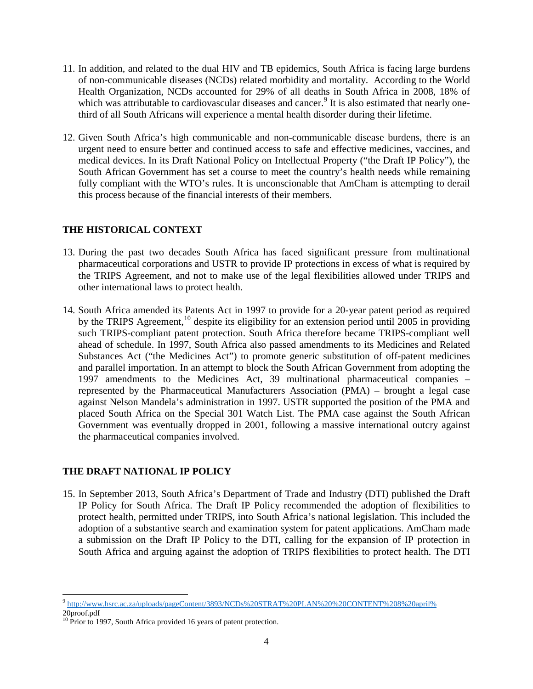- 11. In addition, and related to the dual HIV and TB epidemics, South Africa is facing large burdens of non-communicable diseases (NCDs) related morbidity and mortality. According to the World Health Organization, NCDs accounted for 29% of all deaths in South Africa in 2008, 18% of which was attributable to cardiovascular diseases and cancer.<sup>[9](#page-3-0)</sup> It is also estimated that nearly onethird of all South Africans will experience a mental health disorder during their lifetime.
- 12. Given South Africa's high communicable and non-communicable disease burdens, there is an urgent need to ensure better and continued access to safe and effective medicines, vaccines, and medical devices. In its Draft National Policy on Intellectual Property ("the Draft IP Policy"), the South African Government has set a course to meet the country's health needs while remaining fully compliant with the WTO's rules. It is unconscionable that AmCham is attempting to derail this process because of the financial interests of their members.

## **THE HISTORICAL CONTEXT**

- 13. During the past two decades South Africa has faced significant pressure from multinational pharmaceutical corporations and USTR to provide IP protections in excess of what is required by the TRIPS Agreement, and not to make use of the legal flexibilities allowed under TRIPS and other international laws to protect health.
- 14. South Africa amended its Patents Act in 1997 to provide for a 20-year patent period as required by the TRIPS Agreement,<sup>[10](#page-3-1)</sup> despite its eligibility for an extension period until 2005 in providing such TRIPS-compliant patent protection. South Africa therefore became TRIPS-compliant well ahead of schedule. In 1997, South Africa also passed amendments to its Medicines and Related Substances Act ("the Medicines Act") to promote generic substitution of off-patent medicines and parallel importation. In an attempt to block the South African Government from adopting the 1997 amendments to the Medicines Act, 39 multinational pharmaceutical companies – represented by the Pharmaceutical Manufacturers Association (PMA) – brought a legal case against Nelson Mandela's administration in 1997. USTR supported the position of the PMA and placed South Africa on the Special 301 Watch List. The PMA case against the South African Government was eventually dropped in 2001, following a massive international outcry against the pharmaceutical companies involved.

# **THE DRAFT NATIONAL IP POLICY**

15. In September 2013, South Africa's Department of Trade and Industry (DTI) published the Draft IP Policy for South Africa. The Draft IP Policy recommended the adoption of flexibilities to protect health, permitted under TRIPS, into South Africa's national legislation. This included the adoption of a substantive search and examination system for patent applications. AmCham made a submission on the Draft IP Policy to the DTI, calling for the expansion of IP protection in South Africa and arguing against the adoption of TRIPS flexibilities to protect health. The DTI

 $\overline{\phantom{a}}$ <sup>9</sup> [http://www.hsrc.ac.za/uploads/pageContent/3893/NCDs%20STRAT%20PLAN%20%20CONTENT%208%20april%](http://www.hsrc.ac.za/uploads/pageContent/3893/NCDs%20STRAT%20PLAN%20%20CONTENT%208%20april%25)

<span id="page-3-0"></span><sup>20</sup>proof.pdf

<span id="page-3-1"></span><sup>&</sup>lt;sup>10</sup> Prior to 1997, South Africa provided 16 years of patent protection.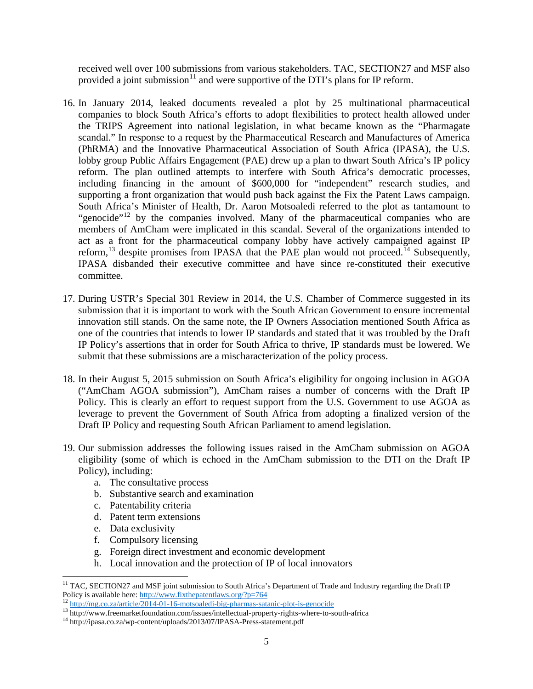received well over 100 submissions from various stakeholders. TAC, SECTION27 and MSF also provided a joint submission<sup>[11](#page-4-0)</sup> and were supportive of the DTI's plans for IP reform.

- 16. In January 2014, leaked documents revealed a plot by 25 multinational pharmaceutical companies to block South Africa's efforts to adopt flexibilities to protect health allowed under the TRIPS Agreement into national legislation, in what became known as the "Pharmagate scandal." In response to a request by the Pharmaceutical Research and Manufactures of America (PhRMA) and the Innovative Pharmaceutical Association of South Africa (IPASA), the U.S. lobby group Public Affairs Engagement (PAE) drew up a plan to thwart South Africa's IP policy reform. The plan outlined attempts to interfere with South Africa's democratic processes, including financing in the amount of \$600,000 for "independent" research studies, and supporting a front organization that would push back against the Fix the Patent Laws campaign. South Africa's Minister of Health, Dr. Aaron Motsoaledi referred to the plot as tantamount to "genocide"<sup>[12](#page-4-1)</sup> by the companies involved. Many of the pharmaceutical companies who are members of AmCham were implicated in this scandal. Several of the organizations intended to act as a front for the pharmaceutical company lobby have actively campaigned against IP reform,  $^{13}$  $^{13}$  $^{13}$  despite promises from IPASA that the PAE plan would not proceed.<sup>[14](#page-4-3)</sup> Subsequently, IPASA disbanded their executive committee and have since re-constituted their executive committee.
- 17. During USTR's Special 301 Review in 2014, the U.S. Chamber of Commerce suggested in its submission that it is important to work with the South African Government to ensure incremental innovation still stands. On the same note, the IP Owners Association mentioned South Africa as one of the countries that intends to lower IP standards and stated that it was troubled by the Draft IP Policy's assertions that in order for South Africa to thrive, IP standards must be lowered. We submit that these submissions are a mischaracterization of the policy process.
- 18. In their August 5, 2015 submission on South Africa's eligibility for ongoing inclusion in AGOA ("AmCham AGOA submission"), AmCham raises a number of concerns with the Draft IP Policy. This is clearly an effort to request support from the U.S. Government to use AGOA as leverage to prevent the Government of South Africa from adopting a finalized version of the Draft IP Policy and requesting South African Parliament to amend legislation.
- 19. Our submission addresses the following issues raised in the AmCham submission on AGOA eligibility (some of which is echoed in the AmCham submission to the DTI on the Draft IP Policy), including:
	- a. The consultative process
	- b. Substantive search and examination
	- c. Patentability criteria
	- d. Patent term extensions
	- e. Data exclusivity

 $\overline{\phantom{a}}$ 

- f. Compulsory licensing
- g. Foreign direct investment and economic development
- h. Local innovation and the protection of IP of local innovators

<span id="page-4-0"></span> $11$  TAC, SECTION27 and MSF joint submission to South Africa's Department of Trade and Industry regarding the Draft IP Policy is available here[: http://www.fixthepatentlaws.org/?p=764](http://www.fixthepatentlaws.org/?p=764)<br>
<sup>12</sup> <http://mg.co.za/article/2014-01-16-motsoaledi-big-pharmas-satanic-plot-is-genocide><br>
<sup>13</sup> http://www.freemarketfoundation.com/issues/intellectual-proper

<span id="page-4-2"></span><span id="page-4-1"></span>

<span id="page-4-3"></span>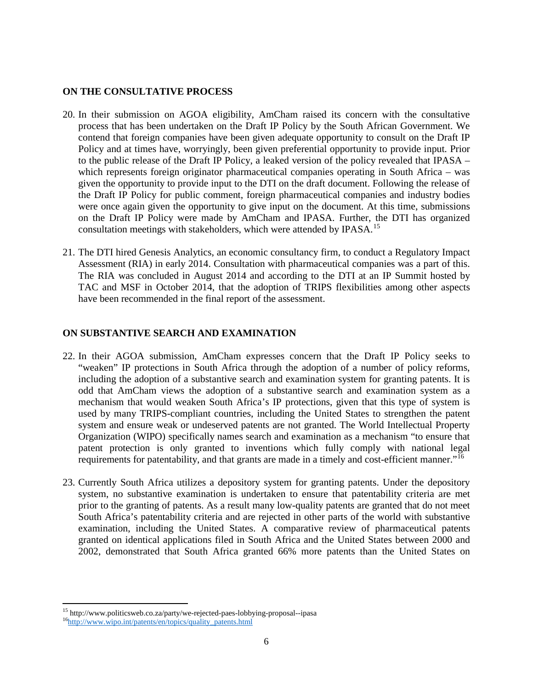## **ON THE CONSULTATIVE PROCESS**

- 20. In their submission on AGOA eligibility, AmCham raised its concern with the consultative process that has been undertaken on the Draft IP Policy by the South African Government. We contend that foreign companies have been given adequate opportunity to consult on the Draft IP Policy and at times have, worryingly, been given preferential opportunity to provide input. Prior to the public release of the Draft IP Policy, a leaked version of the policy revealed that IPASA – which represents foreign originator pharmaceutical companies operating in South Africa – was given the opportunity to provide input to the DTI on the draft document. Following the release of the Draft IP Policy for public comment, foreign pharmaceutical companies and industry bodies were once again given the opportunity to give input on the document. At this time, submissions on the Draft IP Policy were made by AmCham and IPASA. Further, the DTI has organized consultation meetings with stakeholders, which were attended by IPASA.<sup>[15](#page-5-0)</sup>
- 21. The DTI hired Genesis Analytics, an economic consultancy firm, to conduct a Regulatory Impact Assessment (RIA) in early 2014. Consultation with pharmaceutical companies was a part of this. The RIA was concluded in August 2014 and according to the DTI at an IP Summit hosted by TAC and MSF in October 2014, that the adoption of TRIPS flexibilities among other aspects have been recommended in the final report of the assessment.

## **ON SUBSTANTIVE SEARCH AND EXAMINATION**

- 22. In their AGOA submission, AmCham expresses concern that the Draft IP Policy seeks to "weaken" IP protections in South Africa through the adoption of a number of policy reforms, including the adoption of a substantive search and examination system for granting patents. It is odd that AmCham views the adoption of a substantive search and examination system as a mechanism that would weaken South Africa's IP protections, given that this type of system is used by many TRIPS-compliant countries, including the United States to strengthen the patent system and ensure weak or undeserved patents are not granted. The World Intellectual Property Organization (WIPO) specifically names search and examination as a mechanism "to ensure that patent protection is only granted to inventions which fully comply with national legal requirements for patentability, and that grants are made in a timely and cost-efficient manner."<sup>[16](#page-5-1)</sup>
- 23. Currently South Africa utilizes a depository system for granting patents. Under the depository system, no substantive examination is undertaken to ensure that patentability criteria are met prior to the granting of patents. As a result many low-quality patents are granted that do not meet South Africa's patentability criteria and are rejected in other parts of the world with substantive examination, including the United States. A comparative review of pharmaceutical patents granted on identical applications filed in South Africa and the United States between 2000 and 2002, demonstrated that South Africa granted 66% more patents than the United States on

<span id="page-5-0"></span> $\overline{\phantom{a}}$ <sup>15</sup> http://www.politicsweb.co.za/party/we-rejected-paes-lobbying-proposal--ipasa [16http://www.wipo.int/patents/en/topics/quality\\_patents.html](http://www.wipo.int/patents/en/topics/quality_patents.html)

<span id="page-5-1"></span>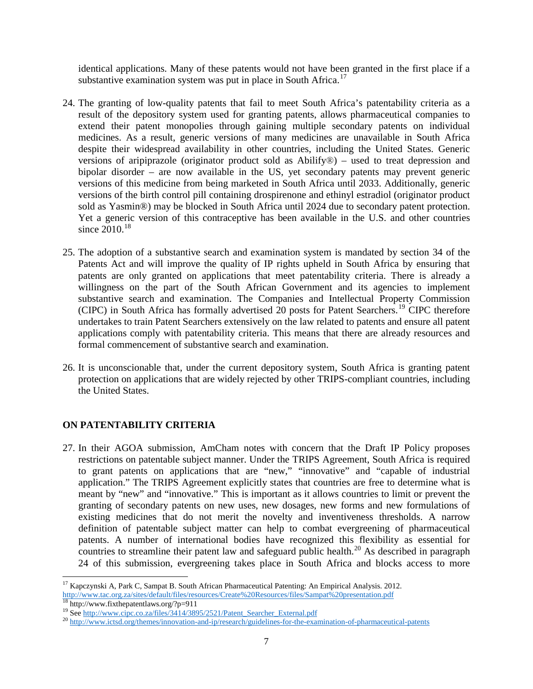identical applications. Many of these patents would not have been granted in the first place if a substantive examination system was put in place in South Africa.<sup>[17](#page-6-0)</sup>

- 24. The granting of low-quality patents that fail to meet South Africa's patentability criteria as a result of the depository system used for granting patents, allows pharmaceutical companies to extend their patent monopolies through gaining multiple secondary patents on individual medicines. As a result, generic versions of many medicines are unavailable in South Africa despite their widespread availability in other countries, including the United States. Generic versions of aripiprazole (originator product sold as Abilify®) – used to treat depression and bipolar disorder – are now available in the US, yet secondary patents may prevent generic versions of this medicine from being marketed in South Africa until 2033. Additionally, generic versions of the birth control pill containing drospirenone and ethinyl estradiol (originator product sold as Yasmin®) may be blocked in South Africa until 2024 due to secondary patent protection. Yet a generic version of this contraceptive has been available in the U.S. and other countries since  $2010^{18}$  $2010^{18}$  $2010^{18}$
- 25. The adoption of a substantive search and examination system is mandated by section 34 of the Patents Act and will improve the quality of IP rights upheld in South Africa by ensuring that patents are only granted on applications that meet patentability criteria. There is already a willingness on the part of the South African Government and its agencies to implement substantive search and examination. The Companies and Intellectual Property Commission (CIPC) in South Africa has formally advertised 20 posts for Patent Searchers.<sup>[19](#page-6-2)</sup> CIPC therefore undertakes to train Patent Searchers extensively on the law related to patents and ensure all patent applications comply with patentability criteria. This means that there are already resources and formal commencement of substantive search and examination.
- 26. It is unconscionable that, under the current depository system, South Africa is granting patent protection on applications that are widely rejected by other TRIPS-compliant countries, including the United States.

# **ON PATENTABILITY CRITERIA**

 $\overline{\phantom{a}}$ 

27. In their AGOA submission, AmCham notes with concern that the Draft IP Policy proposes restrictions on patentable subject manner. Under the TRIPS Agreement, South Africa is required to grant patents on applications that are "new," "innovative" and "capable of industrial application." The TRIPS Agreement explicitly states that countries are free to determine what is meant by "new" and "innovative." This is important as it allows countries to limit or prevent the granting of secondary patents on new uses, new dosages, new forms and new formulations of existing medicines that do not merit the novelty and inventiveness thresholds. A narrow definition of patentable subject matter can help to combat evergreening of pharmaceutical patents. A number of international bodies have recognized this flexibility as essential for countries to streamline their patent law and safeguard public health.<sup>[20](#page-6-3)</sup> As described in paragraph 24 of this submission, evergreening takes place in South Africa and blocks access to more

<span id="page-6-0"></span><sup>&</sup>lt;sup>17</sup> Kapczynski A, Park C, Sampat B, South African Pharmaceutical Patenting: An Empirical Analysis. 2012. <http://www.tac.org.za/sites/default/files/resources/Create%20Resources/files/Sampat%20presentation.pdf>

<span id="page-6-3"></span><span id="page-6-2"></span>

<span id="page-6-1"></span><sup>&</sup>lt;sup>18</sup> http://www.fixthepatentlaws.org/?p=911<br><sup>19</sup> See <u>http://www.cipc.co.za/files/3414/3895/2521/Patent Searcher External.pdf<br><sup>20</sup> http://www.ictsd.org/themes/innovation-and-ip/research/guidelines-for-the-examination-of-ph</u>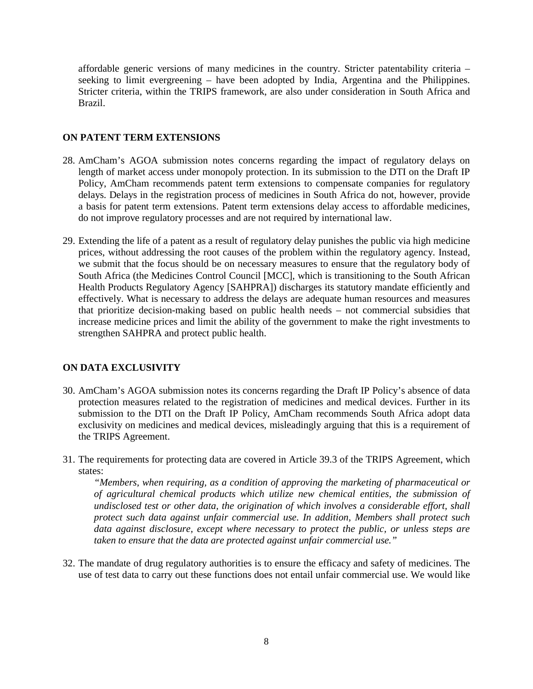affordable generic versions of many medicines in the country. Stricter patentability criteria – seeking to limit evergreening – have been adopted by India, Argentina and the Philippines. Stricter criteria, within the TRIPS framework, are also under consideration in South Africa and Brazil.

## **ON PATENT TERM EXTENSIONS**

- 28. AmCham's AGOA submission notes concerns regarding the impact of regulatory delays on length of market access under monopoly protection. In its submission to the DTI on the Draft IP Policy, AmCham recommends patent term extensions to compensate companies for regulatory delays. Delays in the registration process of medicines in South Africa do not, however, provide a basis for patent term extensions. Patent term extensions delay access to affordable medicines, do not improve regulatory processes and are not required by international law.
- 29. Extending the life of a patent as a result of regulatory delay punishes the public via high medicine prices, without addressing the root causes of the problem within the regulatory agency. Instead, we submit that the focus should be on necessary measures to ensure that the regulatory body of South Africa (the Medicines Control Council [MCC], which is transitioning to the South African Health Products Regulatory Agency [SAHPRA]) discharges its statutory mandate efficiently and effectively. What is necessary to address the delays are adequate human resources and measures that prioritize decision-making based on public health needs – not commercial subsidies that increase medicine prices and limit the ability of the government to make the right investments to strengthen SAHPRA and protect public health.

## **ON DATA EXCLUSIVITY**

- 30. AmCham's AGOA submission notes its concerns regarding the Draft IP Policy's absence of data protection measures related to the registration of medicines and medical devices. Further in its submission to the DTI on the Draft IP Policy, AmCham recommends South Africa adopt data exclusivity on medicines and medical devices, misleadingly arguing that this is a requirement of the TRIPS Agreement.
- 31. The requirements for protecting data are covered in Article 39.3 of the TRIPS Agreement, which states:

*"Members, when requiring, as a condition of approving the marketing of pharmaceutical or of agricultural chemical products which utilize new chemical entities, the submission of undisclosed test or other data, the origination of which involves a considerable effort, shall protect such data against unfair commercial use. In addition, Members shall protect such data against disclosure, except where necessary to protect the public, or unless steps are taken to ensure that the data are protected against unfair commercial use."*

32. The mandate of drug regulatory authorities is to ensure the efficacy and safety of medicines. The use of test data to carry out these functions does not entail unfair commercial use. We would like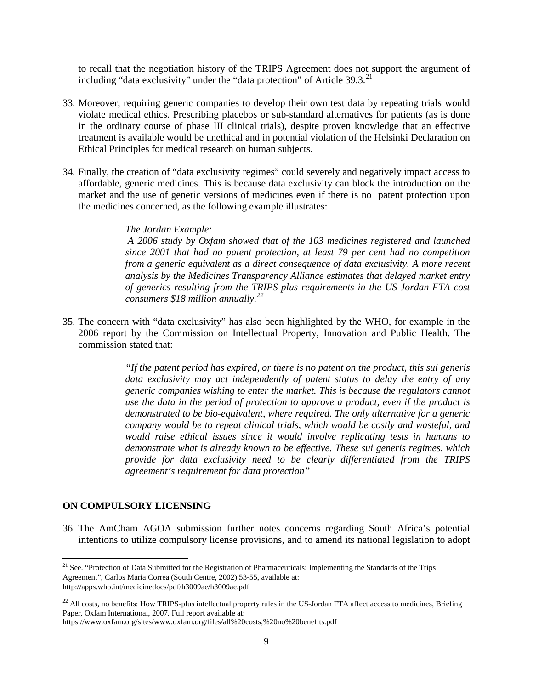to recall that the negotiation history of the TRIPS Agreement does not support the argument of including "data exclusivity" under the "data protection" of Article 39.3.<sup>[21](#page-8-0)</sup>

- 33. Moreover, requiring generic companies to develop their own test data by repeating trials would violate medical ethics. Prescribing placebos or sub-standard alternatives for patients (as is done in the ordinary course of phase III clinical trials), despite proven knowledge that an effective treatment is available would be unethical and in potential violation of the Helsinki Declaration on Ethical Principles for medical research on human subjects.
- 34. Finally, the creation of "data exclusivity regimes" could severely and negatively impact access to affordable, generic medicines. This is because data exclusivity can block the introduction on the market and the use of generic versions of medicines even if there is no patent protection upon the medicines concerned, as the following example illustrates:

#### *The Jordan Example:*

*A 2006 study by Oxfam showed that of the 103 medicines registered and launched since 2001 that had no patent protection, at least 79 per cent had no competition from a generic equivalent as a direct consequence of data exclusivity. A more recent analysis by the Medicines Transparency Alliance estimates that delayed market entry of generics resulting from the TRIPS-plus requirements in the US-Jordan FTA cost consumers \$18 million annually.[22](#page-8-1)*

35. The concern with "data exclusivity" has also been highlighted by the WHO, for example in the 2006 report by the Commission on Intellectual Property, Innovation and Public Health. The commission stated that:

> *"If the patent period has expired, or there is no patent on the product, this sui generis data exclusivity may act independently of patent status to delay the entry of any generic companies wishing to enter the market. This is because the regulators cannot use the data in the period of protection to approve a product, even if the product is demonstrated to be bio-equivalent, where required. The only alternative for a generic company would be to repeat clinical trials, which would be costly and wasteful, and would raise ethical issues since it would involve replicating tests in humans to demonstrate what is already known to be effective. These sui generis regimes, which provide for data exclusivity need to be clearly differentiated from the TRIPS agreement's requirement for data protection"*

#### **ON COMPULSORY LICENSING**

l

36. The AmCham AGOA submission further notes concerns regarding South Africa's potential intentions to utilize compulsory license provisions, and to amend its national legislation to adopt

<span id="page-8-0"></span><sup>&</sup>lt;sup>21</sup> See. "Protection of Data Submitted for the Registration of Pharmaceuticals: Implementing the Standards of the Trips [Agreement"](http://apps.who.int/medicinedocs/en/d/Jh3009ae/), Carlos Maria Correa (South Centre, 2002) 53-55, available at: <http://apps.who.int/medicinedocs/pdf/h3009ae/h3009ae.pdf>

<span id="page-8-1"></span> $^{22}$  All costs, no benefits: How TRIPS-plus intellectual property rules in the US-Jordan FTA affect access to medicines, Briefing Paper, Oxfam International, 2007. Full report available at:

https://www.oxfam.org/sites/www.oxfam.org/files/all%20costs,%20no%20benefits.pdf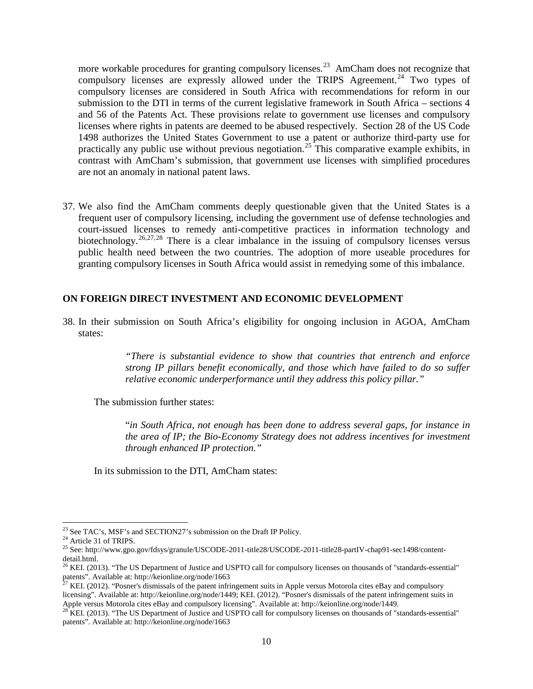more workable procedures for granting compulsory licenses.<sup>[23](#page-9-0)</sup> AmCham does not recognize that compulsory licenses are expressly allowed under the TRIPS Agreement.<sup>[24](#page-9-1)</sup> Two types of compulsory licenses are considered in South Africa with recommendations for reform in our submission to the DTI in terms of the current legislative framework in South Africa – sections 4 and 56 of the Patents Act. These provisions relate to government use licenses and compulsory licenses where rights in patents are deemed to be abused respectively. Section 28 of the US Code 1498 authorizes the United States Government to use a patent or authorize third-party use for practically any public use without previous negotiation.<sup>[25](#page-9-2)</sup> This comparative example exhibits, in contrast with AmCham's submission, that government use licenses with simplified procedures are not an anomaly in national patent laws.

37. We also find the AmCham comments deeply questionable given that the United States is a frequent user of compulsory licensing, including the government use of defense technologies and court-issued licenses to remedy anti-competitive practices in information technology and biotechnology.<sup>[26,](#page-9-3)[27,](#page-9-4)[28](#page-9-5)</sup> There is a clear imbalance in the issuing of compulsory licenses versus public health need between the two countries. The adoption of more useable procedures for granting compulsory licenses in South Africa would assist in remedying some of this imbalance.

#### **ON FOREIGN DIRECT INVESTMENT AND ECONOMIC DEVELOPMENT**

38. In their submission on South Africa's eligibility for ongoing inclusion in AGOA, AmCham states:

> *"There is substantial evidence to show that countries that entrench and enforce strong IP pillars benefit economically, and those which have failed to do so suffer relative economic underperformance until they address this policy pillar."*

The submission further states:

"*in South Africa, not enough has been done to address several gaps, for instance in the area of IP; the Bio-Economy Strategy does not address incentives for investment through enhanced IP protection."* 

In its submission to the DTI, AmCham states:

<sup>&</sup>lt;sup>23</sup> See TAC's, MSF's and SECTION27's submission on the Draft IP Policy.

<span id="page-9-2"></span><span id="page-9-1"></span><span id="page-9-0"></span><sup>&</sup>lt;sup>24</sup> Article 31 of TRIPS.<br><sup>25</sup> See: http://www.gpo.gov/fdsys/granule/USCODE-2011-title28/USCODE-2011-title28-partIV-chap91-sec1498/contentdetail.html.

<span id="page-9-3"></span><sup>&</sup>lt;sup>26</sup> KEI. (2013). "The US Department of Justice and USPTO call for compulsory licenses on thousands of "standards-essential" patents". Available at: http://keionline.org/node/1663

<span id="page-9-4"></span><sup>&</sup>lt;sup>27</sup> KEI. (2012). "Posner's dismissals of the patent infringement suits in Apple versus Motorola cites eBay and compulsory licensing". Available at: http://keionline.org/node/1449; KEI. (2012). "Posner's dismissals of the patent infringement suits in Apple versus Motorola cites eBay and compulsory licensing". Available at: http://keionline.org/node/1449.

<span id="page-9-5"></span><sup>&</sup>lt;sup>28</sup> KEI. (2013). "The US Department of Justice and USPTO call for compulsory licenses on thousands of "standards-essential" patents". Available at: http://keionline.org/node/1663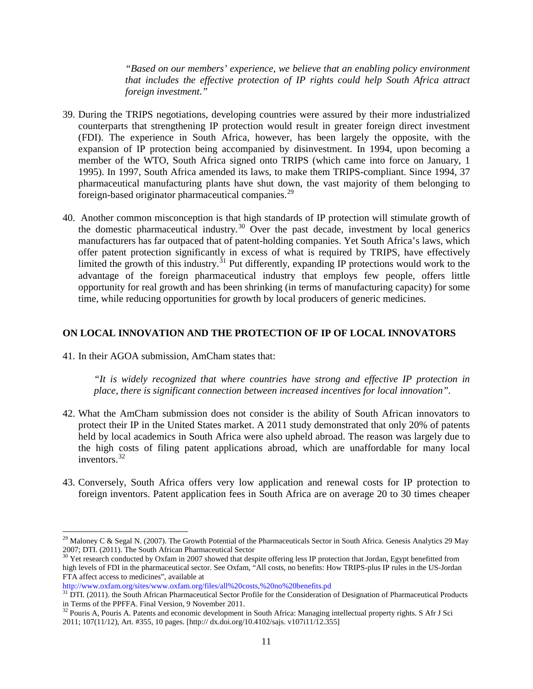*"Based on our members' experience, we believe that an enabling policy environment that includes the effective protection of IP rights could help South Africa attract foreign investment."*

- 39. During the TRIPS negotiations, developing countries were assured by their more industrialized counterparts that strengthening IP protection would result in greater foreign direct investment (FDI). The experience in South Africa, however, has been largely the opposite, with the expansion of IP protection being accompanied by disinvestment. In 1994, upon becoming a member of the WTO, South Africa signed onto TRIPS (which came into force on January, 1 1995). In 1997, South Africa amended its laws, to make them TRIPS-compliant. Since 1994, 37 pharmaceutical manufacturing plants have shut down, the vast majority of them belonging to foreign-based originator pharmaceutical companies.<sup>[29](#page-10-0)</sup>
- 40. Another common misconception is that high standards of IP protection will stimulate growth of the domestic pharmaceutical industry.<sup>[30](#page-10-1)</sup> Over the past decade, investment by local generics manufacturers has far outpaced that of patent-holding companies. Yet South Africa's laws, which offer patent protection significantly in excess of what is required by TRIPS, have effectively limited the growth of this industry.<sup>[31](#page-10-2)</sup> Put differently, expanding IP protections would work to the advantage of the foreign pharmaceutical industry that employs few people, offers little opportunity for real growth and has been shrinking (in terms of manufacturing capacity) for some time, while reducing opportunities for growth by local producers of generic medicines.

#### **ON LOCAL INNOVATION AND THE PROTECTION OF IP OF LOCAL INNOVATORS**

41. In their AGOA submission, AmCham states that:

 $\overline{\phantom{a}}$ 

*"It is widely recognized that where countries have strong and effective IP protection in place, there is significant connection between increased incentives for local innovation".* 

- 42. What the AmCham submission does not consider is the ability of South African innovators to protect their IP in the United States market. A 2011 study demonstrated that only 20% of patents held by local academics in South Africa were also upheld abroad. The reason was largely due to the high costs of filing patent applications abroad, which are unaffordable for many local inventors.<sup>[32](#page-10-3)</sup>
- 43. Conversely, South Africa offers very low application and renewal costs for IP protection to foreign inventors. Patent application fees in South Africa are on average 20 to 30 times cheaper

<span id="page-10-0"></span><sup>&</sup>lt;sup>29</sup> Maloney C & Segal N. (2007). The Growth Potential of the Pharmaceuticals Sector in South Africa. Genesis Analytics 29 May 2007; DTI. (2011). The South African Pharmaceutical Sector 30 Yet research conducted by Oxfam in 2007 showed that despite offering less IP protection that Jordan, Egypt benefitted from

<span id="page-10-1"></span>high levels of FDI in the pharmaceutical sector. See Oxfam, "All costs, no benefits: How TRIPS-plus IP rules in the US-Jordan FTA affect access to medicines", available at

http://www.oxfam.org/sites/www.oxfam.org/files/all%20costs,%20no%20benefits.pd

<span id="page-10-2"></span><sup>&</sup>lt;sup>31</sup> DTI. (2011). the South African Pharmaceutical Sector Profile for the Consideration of Designation of Pharmaceutical Products in Terms of the PPFFA. Final Version, 9 November 2011.

<span id="page-10-3"></span><sup>&</sup>lt;sup>32</sup> Pouris A, Pouris A. Patents and economic development in South Africa: Managing intellectual property rights. S Afr J Sci 2011; 107(11/12), Art. #355, 10 pages. [http:// dx.doi.org/10.4102/sajs. v107i11/12.355]